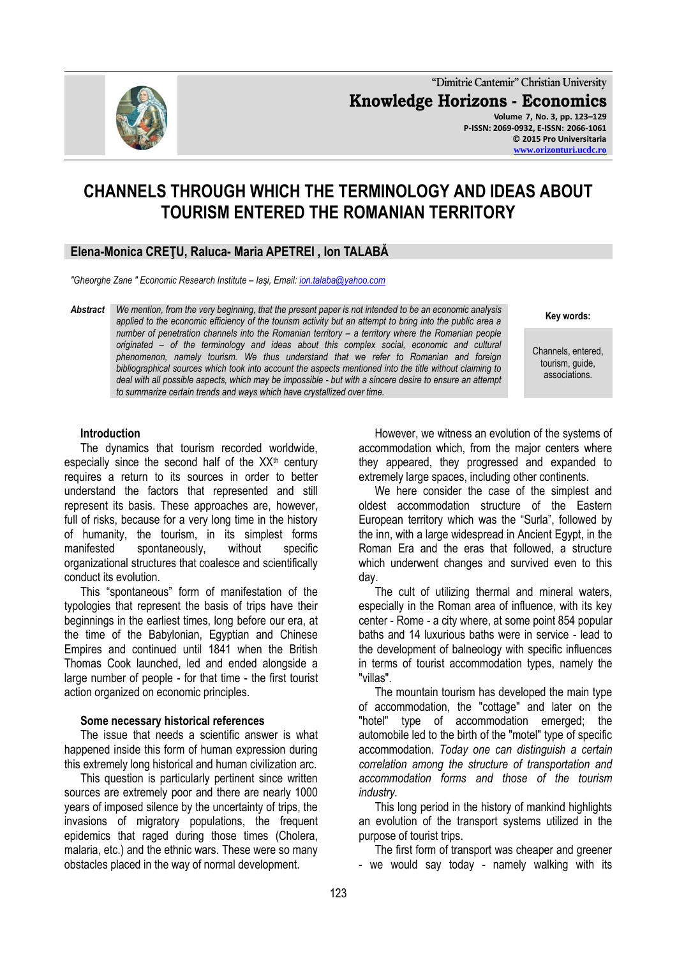

**"Dimitrie Cantemir" Christian University Knowledge Horizons - Economics Volume 7, No. 3, pp. 123–129 P-ISSN: 2069-0932, E-ISSN: 2066-1061 © 2015 Pro Universitaria [www.orizonturi.ucdc.ro](http://www.orizonturi.ucdc.ro/)**

# **CHANNELS THROUGH WHICH THE TERMINOLOGY AND IDEAS ABOUT TOURISM ENTERED THE ROMANIAN TERRITORY**

# **Elena-Monica CREŢU, Raluca- Maria APETREI , Ion TALABĂ**

*"Gheorghe Zane " Economic Research Institute – Iaşi, Email[: ion.talaba@yahoo.com](mailto:ion.talaba@yahoo.com)*

*Abstract We mention, from the very beginning, that the present paper is not intended to be an economic analysis applied to the economic efficiency of the tourism activity but an attempt to bring into the public area a number of penetration channels into the Romanian territory – a territory where the Romanian people originated – of the terminology and ideas about this complex social, economic and cultural phenomenon, namely tourism. We thus understand that we refer to Romanian and foreign bibliographical sources which took into account the aspects mentioned into the title without claiming to deal with all possible aspects, which may be impossible - but with a sincere desire to ensure an attempt to summarize certain trends and ways which have crystallized over time.*

# **Key words:**

Channels, entered, tourism, guide, associations.

#### **Introduction**

The dynamics that tourism recorded worldwide, especially since the second half of the  $XX<sup>th</sup>$  century requires a return to its sources in order to better understand the factors that represented and still represent its basis. These approaches are, however, full of risks, because for a very long time in the history of humanity, the tourism, in its simplest forms manifested spontaneously, without specific organizational structures that coalesce and scientifically conduct its evolution.

This "spontaneous" form of manifestation of the typologies that represent the basis of trips have their beginnings in the earliest times, long before our era, at the time of the Babylonian, Egyptian and Chinese Empires and continued until 1841 when the British Thomas Cook launched, led and ended alongside a large number of people - for that time - the first tourist action organized on economic principles.

#### **Some necessary historical references**

The issue that needs a scientific answer is what happened inside this form of human expression during this extremely long historical and human civilization arc.

This question is particularly pertinent since written sources are extremely poor and there are nearly 1000 years of imposed silence by the uncertainty of trips, the invasions of migratory populations, the frequent epidemics that raged during those times (Cholera, malaria, etc.) and the ethnic wars. These were so many obstacles placed in the way of normal development.

However, we witness an evolution of the systems of accommodation which, from the major centers where they appeared, they progressed and expanded to extremely large spaces, including other continents.

We here consider the case of the simplest and oldest accommodation structure of the Eastern European territory which was the "Surla", followed by the inn, with a large widespread in Ancient Egypt, in the Roman Era and the eras that followed, a structure which underwent changes and survived even to this day.

The cult of utilizing thermal and mineral waters, especially in the Roman area of influence, with its key center - Rome - a city where, at some point 854 popular baths and 14 luxurious baths were in service - lead to the development of balneology with specific influences in terms of tourist accommodation types, namely the "villas".

The mountain tourism has developed the main type of accommodation, the "cottage" and later on the "hotel" type of accommodation emerged; the automobile led to the birth of the "motel" type of specific accommodation. *Today one can distinguish a certain correlation among the structure of transportation and accommodation forms and those of the tourism industry.*

This long period in the history of mankind highlights an evolution of the transport systems utilized in the purpose of tourist trips.

The first form of transport was cheaper and greener - we would say today - namely walking with its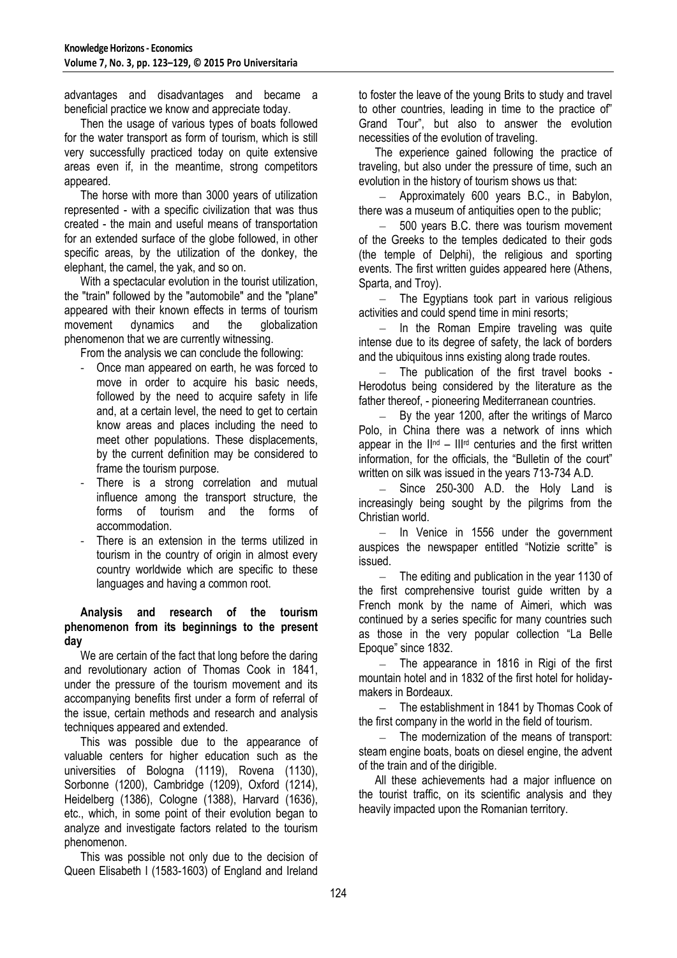advantages and disadvantages and became a beneficial practice we know and appreciate today.

Then the usage of various types of boats followed for the water transport as form of tourism, which is still very successfully practiced today on quite extensive areas even if, in the meantime, strong competitors appeared.

The horse with more than 3000 years of utilization represented - with a specific civilization that was thus created - the main and useful means of transportation for an extended surface of the globe followed, in other specific areas, by the utilization of the donkey, the elephant, the camel, the yak, and so on.

With a spectacular evolution in the tourist utilization, the "train" followed by the "automobile" and the "plane" appeared with their known effects in terms of tourism movement dynamics and the globalization phenomenon that we are currently witnessing.

From the analysis we can conclude the following:

- Once man appeared on earth, he was forced to move in order to acquire his basic needs, followed by the need to acquire safety in life and, at a certain level, the need to get to certain know areas and places including the need to meet other populations. These displacements, by the current definition may be considered to frame the tourism purpose.
- There is a strong correlation and mutual influence among the transport structure, the forms of tourism and the forms of accommodation.
- There is an extension in the terms utilized in tourism in the country of origin in almost every country worldwide which are specific to these languages and having a common root.

### **Analysis and research of the tourism phenomenon from its beginnings to the present day**

We are certain of the fact that long before the daring and revolutionary action of Thomas Cook in 1841, under the pressure of the tourism movement and its accompanying benefits first under a form of referral of the issue, certain methods and research and analysis techniques appeared and extended.

This was possible due to the appearance of valuable centers for higher education such as the universities of Bologna (1119), Rovena (1130), Sorbonne (1200), Cambridge (1209), Oxford (1214), Heidelberg (1386), Cologne (1388), Harvard (1636), etc., which, in some point of their evolution began to analyze and investigate factors related to the tourism phenomenon.

This was possible not only due to the decision of Queen Elisabeth I (1583-1603) of England and Ireland

to foster the leave of the young Brits to study and travel to other countries, leading in time to the practice of" Grand Tour", but also to answer the evolution necessities of the evolution of traveling.

The experience gained following the practice of traveling, but also under the pressure of time, such an evolution in the history of tourism shows us that:

 $-$  Approximately 600 years B.C., in Babylon, there was a museum of antiquities open to the public;

 $\equiv$ 500 years B.C. there was tourism movement of the Greeks to the temples dedicated to their gods (the temple of Delphi), the religious and sporting events. The first written guides appeared here (Athens, Sparta, and Troy).

 $-$  The Egyptians took part in various religious activities and could spend time in mini resorts;

 $-$  In the Roman Empire traveling was quite intense due to its degree of safety, the lack of borders and the ubiquitous inns existing along trade routes.

- The publication of the first travel books -Herodotus being considered by the literature as the father thereof, - pioneering Mediterranean countries.

 $-$  By the year 1200, after the writings of Marco Polo, in China there was a network of inns which appear in the  $\mathbb{I}^{\text{nd}}$  –  $\mathbb{II}^{\text{rd}}$  centuries and the first written information, for the officials, the "Bulletin of the court" written on silk was issued in the years 713-734 A.D.

 $-$  Since 250-300 A.D. the Holy Land is increasingly being sought by the pilgrims from the Christian world.

 $-$  In Venice in 1556 under the government auspices the newspaper entitled "Notizie scritte" is issued.

 $-$  The editing and publication in the year 1130 of the first comprehensive tourist guide written by a French monk by the name of Aimeri, which was continued by a series specific for many countries such as those in the very popular collection "La Belle Epoque" since 1832.

 $-$  The appearance in 1816 in Rigi of the first mountain hotel and in 1832 of the first hotel for holidaymakers in Bordeaux.

- The establishment in 1841 by Thomas Cook of the first company in the world in the field of tourism.

 $-$  The modernization of the means of transport: steam engine boats, boats on diesel engine, the advent of the train and of the dirigible.

All these achievements had a major influence on the tourist traffic, on its scientific analysis and they heavily impacted upon the Romanian territory.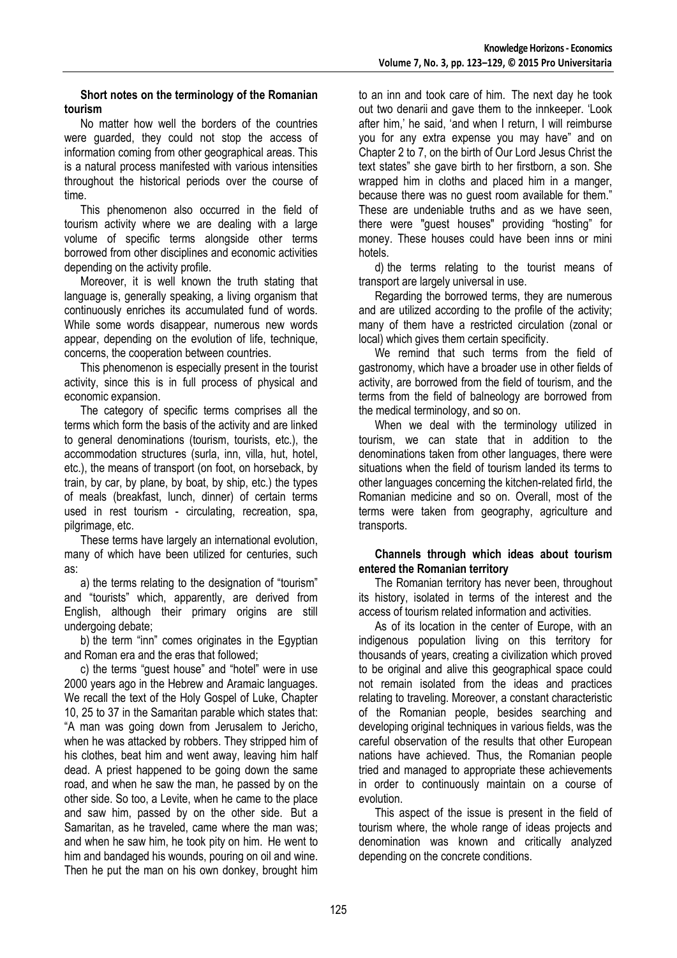# **Short notes on the terminology of the Romanian tourism**

No matter how well the borders of the countries were guarded, they could not stop the access of information coming from other geographical areas. This is a natural process manifested with various intensities throughout the historical periods over the course of time.

This phenomenon also occurred in the field of tourism activity where we are dealing with a large volume of specific terms alongside other terms borrowed from other disciplines and economic activities depending on the activity profile.

Moreover, it is well known the truth stating that language is, generally speaking, a living organism that continuously enriches its accumulated fund of words. While some words disappear, numerous new words appear, depending on the evolution of life, technique, concerns, the cooperation between countries.

This phenomenon is especially present in the tourist activity, since this is in full process of physical and economic expansion.

The category of specific terms comprises all the terms which form the basis of the activity and are linked to general denominations (tourism, tourists, etc.), the accommodation structures (surla, inn, villa, hut, hotel, etc.), the means of transport (on foot, on horseback, by train, by car, by plane, by boat, by ship, etc.) the types of meals (breakfast, lunch, dinner) of certain terms used in rest tourism - circulating, recreation, spa, pilgrimage, etc.

These terms have largely an international evolution, many of which have been utilized for centuries, such as:

a) the terms relating to the designation of "tourism" and "tourists" which, apparently, are derived from English, although their primary origins are still undergoing debate;

b) the term "inn" comes originates in the Egyptian and Roman era and the eras that followed;

c) the terms "guest house" and "hotel" were in use 2000 years ago in the Hebrew and Aramaic languages. We recall the text of the Holy Gospel of Luke, Chapter 10, 25 to 37 in the Samaritan parable which states that: "A man was going down from Jerusalem to Jericho, when he was attacked by robbers. They stripped him of his clothes, beat him and went away, leaving him half dead. A priest happened to be going down the same road, and when he saw the man, he passed by on the other side. So too, a Levite, when he came to the place and saw him, passed by on the other side. But a Samaritan, as he traveled, came where the man was; and when he saw him, he took pity on him. He went to him and bandaged his wounds, pouring on oil and wine. Then he put the man on his own donkey, brought him

to an inn and took care of him. The next day he took out two denarii and gave them to the innkeeper. "Look after him,' he said, 'and when I return, I will reimburse you for any extra expense you may have" and on Chapter 2 to 7, on the birth of Our Lord Jesus Christ the text states" she gave birth to her firstborn, a son. She wrapped him in cloths and placed him in a manger, because there was no guest room available for them." These are undeniable truths and as we have seen, there were "guest houses" providing "hosting" for money. These houses could have been inns or mini hotels.

d) the terms relating to the tourist means of transport are largely universal in use.

Regarding the borrowed terms, they are numerous and are utilized according to the profile of the activity; many of them have a restricted circulation (zonal or local) which gives them certain specificity.

We remind that such terms from the field of gastronomy, which have a broader use in other fields of activity, are borrowed from the field of tourism, and the terms from the field of balneology are borrowed from the medical terminology, and so on.

When we deal with the terminology utilized in tourism, we can state that in addition to the denominations taken from other languages, there were situations when the field of tourism landed its terms to other languages concerning the kitchen-related firld, the Romanian medicine and so on. Overall, most of the terms were taken from geography, agriculture and transports.

# **Channels through which ideas about tourism entered the Romanian territory**

The Romanian territory has never been, throughout its history, isolated in terms of the interest and the access of tourism related information and activities.

As of its location in the center of Europe, with an indigenous population living on this territory for thousands of years, creating a civilization which proved to be original and alive this geographical space could not remain isolated from the ideas and practices relating to traveling. Moreover, a constant characteristic of the Romanian people, besides searching and developing original techniques in various fields, was the careful observation of the results that other European nations have achieved. Thus, the Romanian people tried and managed to appropriate these achievements in order to continuously maintain on a course of evolution.

This aspect of the issue is present in the field of tourism where, the whole range of ideas projects and denomination was known and critically analyzed depending on the concrete conditions.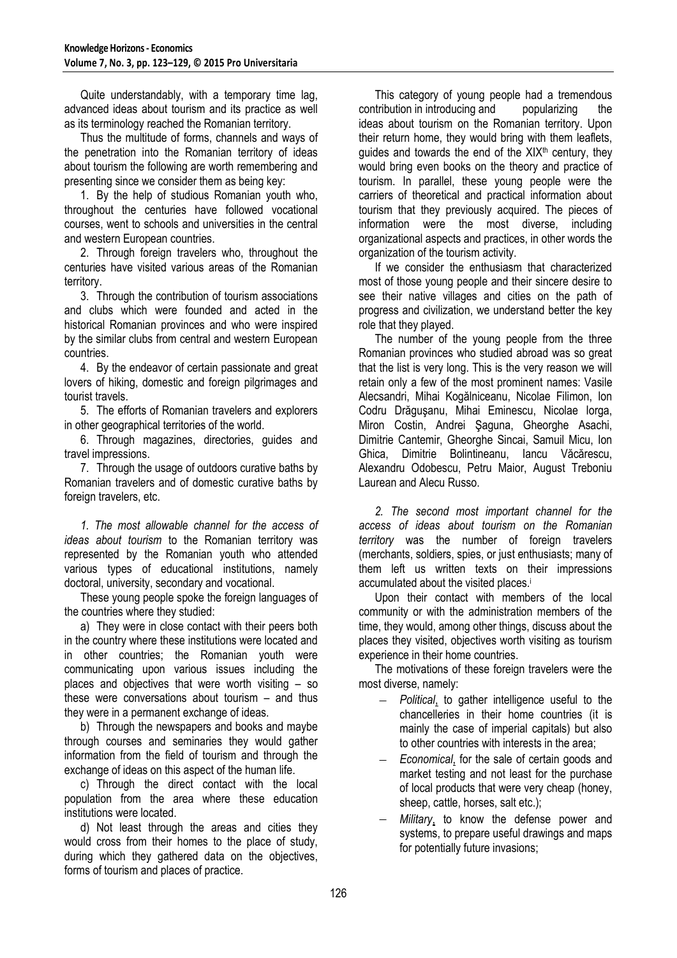Quite understandably, with a temporary time lag, advanced ideas about tourism and its practice as well as its terminology reached the Romanian territory.

Thus the multitude of forms, channels and ways of the penetration into the Romanian territory of ideas about tourism the following are worth remembering and presenting since we consider them as being key:

1. By the help of studious Romanian youth who, throughout the centuries have followed vocational courses, went to schools and universities in the central and western European countries.

2. Through foreign travelers who, throughout the centuries have visited various areas of the Romanian territory.

3. Through the contribution of tourism associations and clubs which were founded and acted in the historical Romanian provinces and who were inspired by the similar clubs from central and western European countries.

4. By the endeavor of certain passionate and great lovers of hiking, domestic and foreign pilgrimages and tourist travels.

5. The efforts of Romanian travelers and explorers in other geographical territories of the world.

6. Through magazines, directories, guides and travel impressions.

7. Through the usage of outdoors curative baths by Romanian travelers and of domestic curative baths by foreign travelers, etc.

*1. The most allowable channel for the access of ideas about tourism* to the Romanian territory was represented by the Romanian youth who attended various types of educational institutions, namely doctoral, university, secondary and vocational.

These young people spoke the foreign languages of the countries where they studied:

a) They were in close contact with their peers both in the country where these institutions were located and in other countries; the Romanian youth were communicating upon various issues including the places and objectives that were worth visiting – so these were conversations about tourism – and thus they were in a permanent exchange of ideas.

b) Through the newspapers and books and maybe through courses and seminaries they would gather information from the field of tourism and through the exchange of ideas on this aspect of the human life.

c) Through the direct contact with the local population from the area where these education institutions were located.

d) Not least through the areas and cities they would cross from their homes to the place of study, during which they gathered data on the objectives, forms of tourism and places of practice.

This category of young people had a tremendous contribution in introducing and popularizing the ideas about tourism on the Romanian territory. Upon their return home, they would bring with them leaflets, guides and towards the end of the  $XIX<sup>th</sup>$  century, they would bring even books on the theory and practice of tourism. In parallel, these young people were the carriers of theoretical and practical information about tourism that they previously acquired. The pieces of information were the most diverse, including organizational aspects and practices, in other words the organization of the tourism activity.

If we consider the enthusiasm that characterized most of those young people and their sincere desire to see their native villages and cities on the path of progress and civilization, we understand better the key role that they played.

The number of the young people from the three Romanian provinces who studied abroad was so great that the list is very long. This is the very reason we will retain only a few of the most prominent names: Vasile Alecsandri, Mihai Kogălniceanu, Nicolae Filimon, Ion Codru Drăguşanu, Mihai Eminescu, Nicolae Iorga, Miron Costin, Andrei Şaguna, Gheorghe Asachi, Dimitrie Cantemir, Gheorghe Sincai, Samuil Micu, Ion Ghica, Dimitrie Bolintineanu, Iancu Văcărescu, Alexandru Odobescu, Petru Maior, August Treboniu Laurean and Alecu Russo.

*2. The second most important channel for the access of ideas about tourism on the Romanian territory* was the number of foreign travelers (merchants, soldiers, spies, or just enthusiasts; many of them left us written texts on their impressions accumulated about the visited places.<sup>i</sup>

Upon their contact with members of the local community or with the administration members of the time, they would, among other things, discuss about the places they visited, objectives worth visiting as tourism experience in their home countries.

The motivations of these foreign travelers were the most diverse, namely:

- *Political*, to gather intelligence useful to the chancelleries in their home countries (it is mainly the case of imperial capitals) but also to other countries with interests in the area;
- *Economical*, for the sale of certain goods and market testing and not least for the purchase of local products that were very cheap (honey, sheep, cattle, horses, salt etc.);
- *Military*, to know the defense power and systems, to prepare useful drawings and maps for potentially future invasions;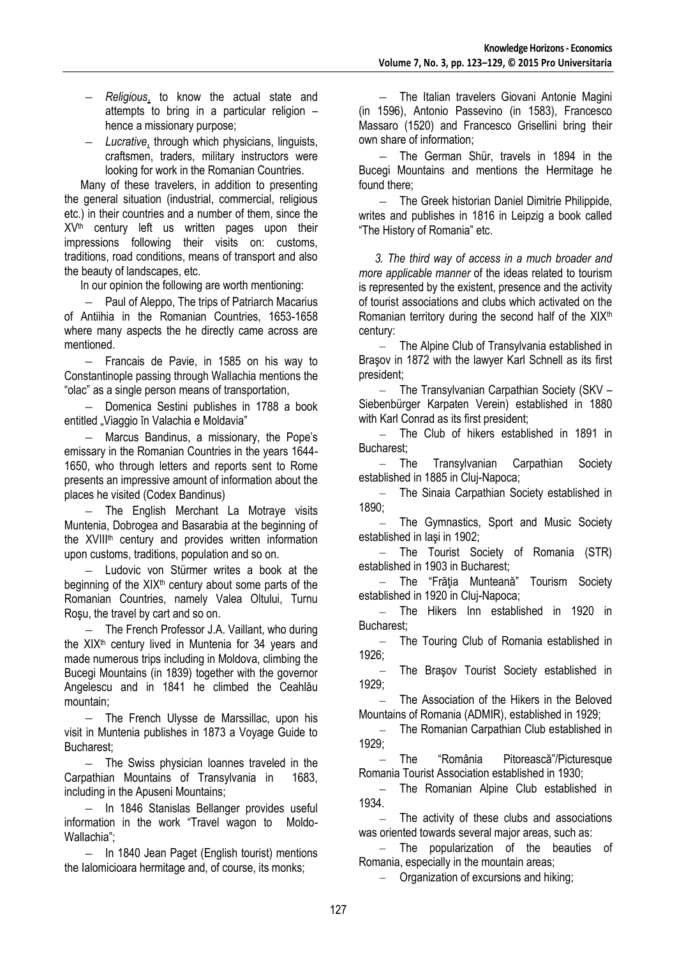- *Religious*, to know the actual state and attempts to bring in a particular religion – hence a missionary purpose;
- $\equiv$ *Lucrative*, through which physicians, linguists, craftsmen, traders, military instructors were looking for work in the Romanian Countries.

Many of these travelers, in addition to presenting the general situation (industrial, commercial, religious etc.) in their countries and a number of them, since the  $XV<sup>th</sup>$  century left us written pages upon their impressions following their visits on: customs, traditions, road conditions, means of transport and also the beauty of landscapes, etc.

In our opinion the following are worth mentioning:

 $\sim$ Paul of Aleppo, The trips of Patriarch Macarius of Antiihia in the Romanian Countries, 1653-1658 where many aspects the he directly came across are mentioned.

 $\equiv$ Francais de Pavie, in 1585 on his way to Constantinople passing through Wallachia mentions the "olac" as a single person means of transportation,

Domenica Sestini publishes in 1788 a book  $\sim$ entitled "Viaggio în Valachia e Moldavia"

- Marcus Bandinus, a missionary, the Pope's emissary in the Romanian Countries in the years 1644- 1650, who through letters and reports sent to Rome presents an impressive amount of information about the places he visited (Codex Bandinus)

- The English Merchant La Motraye visits Muntenia, Dobrogea and Basarabia at the beginning of the XVIIIth century and provides written information upon customs, traditions, population and so on.

Ludovic von Stürmer writes a book at the beginning of the  $XIX<sup>th</sup>$  century about some parts of the Romanian Countries, namely Valea Oltului, Turnu Roşu, the travel by cart and so on.

The French Professor J.A. Vaillant, who during the XIX<sup>th</sup> century lived in Muntenia for 34 years and made numerous trips including in Moldova, climbing the Bucegi Mountains (in 1839) together with the governor Angelescu and in 1841 he climbed the Ceahlău mountain;

 $-$  The French Ulysse de Marssillac, upon his visit in Muntenia publishes in 1873 a Voyage Guide to Bucharest;

 $-$  The Swiss physician Ioannes traveled in the Carpathian Mountains of Transylvania in 1683, including in the Apuseni Mountains;

- In 1846 Stanislas Bellanger provides useful information in the work "Travel wagon to Moldo-Wallachia";

 $\equiv$ In 1840 Jean Paget (English tourist) mentions the Ialomicioara hermitage and, of course, its monks;

- The Italian travelers Giovani Antonie Magini (in 1596), Antonio Passevino (in 1583), Francesco Massaro (1520) and Francesco Grisellini bring their own share of information;

 $-$  The German Shür, travels in 1894 in the Bucegi Mountains and mentions the Hermitage he found there;

The Greek historian Daniel Dimitrie Philippide, writes and publishes in 1816 in Leipzig a book called "The History of Romania" etc.

*3. The third way of access in a much broader and more applicable manner* of the ideas related to tourism is represented by the existent, presence and the activity of tourist associations and clubs which activated on the Romanian territory during the second half of the  $XIX<sup>th</sup>$ century:

The Alpine Club of Transylvania established in Braşov in 1872 with the lawyer Karl Schnell as its first president;

The Transylvanian Carpathian Society (SKV –  $=$ Siebenbürger Karpaten Verein) established in 1880 with Karl Conrad as its first president;

The Club of hikers established in 1891 in Bucharest;

 $\equiv$ The Transylvanian Carpathian Society established in 1885 in Cluj-Napoca;

The Sinaia Carpathian Society established in  $\equiv$ 1890;

The Gymnastics, Sport and Music Society established in Iaşi in 1902;

- The Tourist Society of Romania (STR) established in 1903 in Bucharest;

The "Frăţia Munteană" Tourism Society established in 1920 in Cluj-Napoca;

The Hikers Inn established in 1920 in Bucharest;

The Touring Club of Romania established in  $\sim$ 1926;

The Braşov Tourist Society established in 1929;

The Association of the Hikers in the Beloved Mountains of Romania (ADMIR), established in 1929;

 $\equiv$ The Romanian Carpathian Club established in 1929;

The "România Pitorească"/Picturesque Romania Tourist Association established in 1930;

 $\equiv$ The Romanian Alpine Club established in 1934.

The activity of these clubs and associations was oriented towards several major areas, such as:

 $-$  The popularization of the beauties of Romania, especially in the mountain areas;

- Organization of excursions and hiking;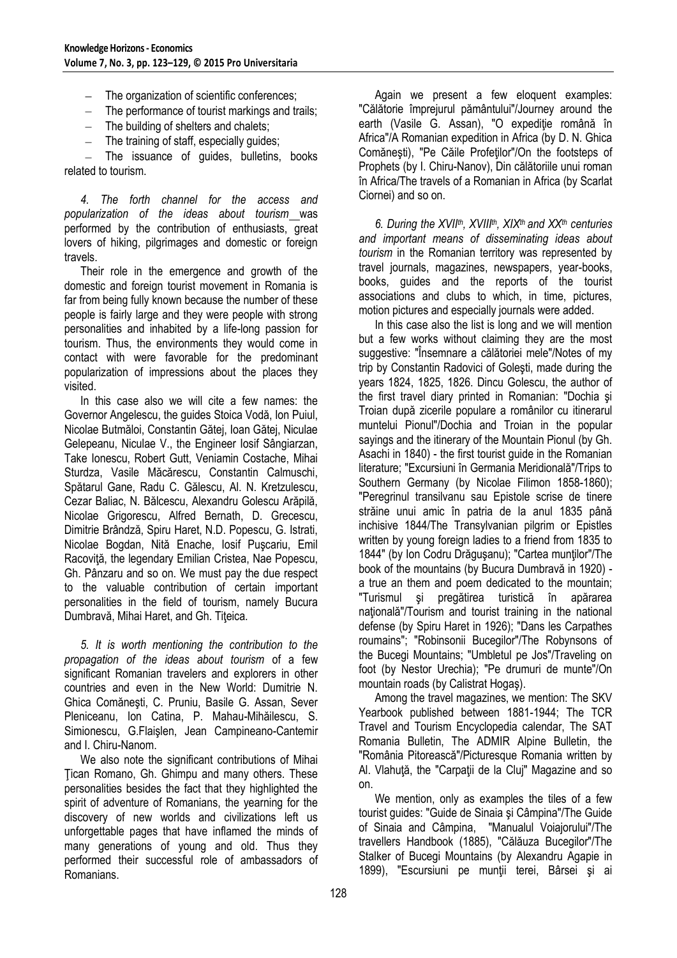- The organization of scientific conferences;
- $-$  The performance of tourist markings and trails;
- $-$  The building of shelters and chalets;
- $-$  The training of staff, especially guides;

 $\equiv$  . The issuance of guides, bulletins, books related to tourism.

*4. The forth channel for the access and popularization of the ideas about tourism* was performed by the contribution of enthusiasts, great lovers of hiking, pilgrimages and domestic or foreign travels.

Their role in the emergence and growth of the domestic and foreign tourist movement in Romania is far from being fully known because the number of these people is fairly large and they were people with strong personalities and inhabited by a life-long passion for tourism. Thus, the environments they would come in contact with were favorable for the predominant popularization of impressions about the places they visited.

In this case also we will cite a few names: the Governor Angelescu, the guides Stoica Vodă, Ion Puiul, Nicolae Butmăloi, Constantin Gătej, Ioan Gătej, Niculae Gelepeanu, Niculae V., the Engineer Iosif Sângiarzan, Take Ionescu, Robert Gutt, Veniamin Costache, Mihai Sturdza, Vasile Măcărescu, Constantin Calmuschi, Spătarul Gane, Radu C. Gălescu, Al. N. Kretzulescu, Cezar Baliac, N. Bălcescu, Alexandru Golescu Arăpilă, Nicolae Grigorescu, Alfred Bernath, D. Grecescu, Dimitrie Brândză, Spiru Haret, N.D. Popescu, G. Istrati, Nicolae Bogdan, Nită Enache, Iosif Puşcariu, Emil Racoviță, the legendary Emilian Cristea, Nae Popescu, Gh. Pânzaru and so on. We must pay the due respect to the valuable contribution of certain important personalities in the field of tourism, namely Bucura Dumbravă, Mihai Haret, and Gh. Tiţeica.

*5. It is worth mentioning the contribution to the propagation of the ideas about tourism* of a few significant Romanian travelers and explorers in other countries and even in the New World: Dumitrie N. Ghica Comăneşti, C. Pruniu, Basile G. Assan, Sever Pleniceanu, Ion Catina, P. Mahau-Mihăilescu, S. Simionescu, G.Flaişlen, Jean Campineano-Cantemir and I. Chiru-Nanom.

We also note the significant contributions of Mihai Ţican Romano, Gh. Ghimpu and many others. These personalities besides the fact that they highlighted the spirit of adventure of Romanians, the yearning for the discovery of new worlds and civilizations left us unforgettable pages that have inflamed the minds of many generations of young and old. Thus they performed their successful role of ambassadors of Romanians.

Again we present a few eloquent examples: "Călătorie împrejurul pământului"/Journey around the earth (Vasile G. Assan), "O expediție română în Africa"/A Romanian expedition in Africa (by D. N. Ghica Comăneşti), "Pe Căile Profeţilor"/On the footsteps of Prophets (by I. Chiru-Nanov), Din călătoriile unui roman în Africa/The travels of a Romanian in Africa (by Scarlat Ciornei) and so on.

*6. During the XVIIth, XVIIIth, XIXth and XXth centuries and important means of disseminating ideas about tourism* in the Romanian territory was represented by travel journals, magazines, newspapers, year-books, books, guides and the reports of the tourist associations and clubs to which, in time, pictures, motion pictures and especially journals were added.

In this case also the list is long and we will mention but a few works without claiming they are the most suggestive: "Însemnare a călătoriei mele"/Notes of my trip by Constantin Radovici of Goleşti, made during the years 1824, 1825, 1826. Dincu Golescu, the author of the first travel diary printed in Romanian: "Dochia şi Troian după zicerile populare a românilor cu itinerarul muntelui Pionul"/Dochia and Troian in the popular sayings and the itinerary of the Mountain Pionul (by Gh. Asachi in 1840) - the first tourist guide in the Romanian literature; "Excursiuni în Germania Meridională"/Trips to Southern Germany (by Nicolae Filimon 1858-1860); "Peregrinul transilvanu sau Epistole scrise de tinere străine unui amic în patria de la anul 1835 până inchisive 1844/The Transylvanian pilgrim or Epistles written by young foreign ladies to a friend from 1835 to 1844" (by Ion Codru Drăguşanu); "Cartea munţilor"/The book of the mountains (by Bucura Dumbravă in 1920) a true an them and poem dedicated to the mountain; "Turismul şi pregătirea turistică în apărarea națională"/Tourism and tourist training in the national defense (by Spiru Haret in 1926); "Dans les Carpathes roumains"; "Robinsonii Bucegilor"/The Robynsons of the Bucegi Mountains; "Umbletul pe Jos"/Traveling on foot (by Nestor Urechia); "Pe drumuri de munte"/On mountain roads (by Calistrat Hogaş).

Among the travel magazines, we mention: The SKV Yearbook published between 1881-1944; The TCR Travel and Tourism Encyclopedia calendar, The SAT Romania Bulletin, The ADMIR Alpine Bulletin, the "România Pitorească"/Picturesque Romania written by Al. Vlahuţă, the "Carpaţii de la Cluj" Magazine and so on.

We mention, only as examples the tiles of a few tourist guides: "Guide de Sinaia şi Câmpina"/The Guide of Sinaia and Câmpina, "Manualul Voiajorului"/The travellers Handbook (1885), "Călăuza Bucegilor"/The Stalker of Bucegi Mountains (by Alexandru Agapie in 1899), "Escursiuni pe munții terei, Bârsei și ai